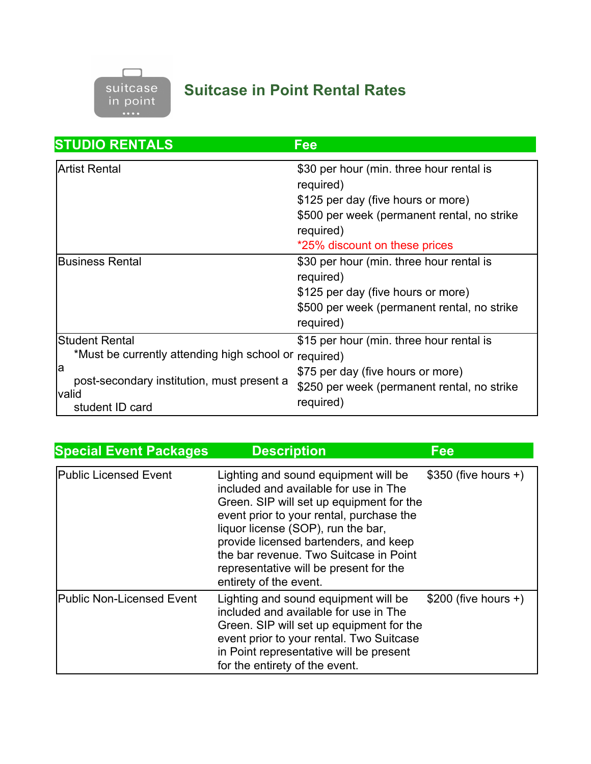

## **Suitcase in Point Rental Rates**

| <b>STUDIO RENTALS</b>                                                                                                                                | Fee                                                                                                                                                                                      |
|------------------------------------------------------------------------------------------------------------------------------------------------------|------------------------------------------------------------------------------------------------------------------------------------------------------------------------------------------|
| <b>Artist Rental</b>                                                                                                                                 | \$30 per hour (min. three hour rental is<br>required)<br>\$125 per day (five hours or more)<br>\$500 per week (permanent rental, no strike<br>required)<br>*25% discount on these prices |
| <b>Business Rental</b>                                                                                                                               | \$30 per hour (min. three hour rental is<br>required)<br>\$125 per day (five hours or more)<br>\$500 per week (permanent rental, no strike<br>required)                                  |
| <b>Student Rental</b><br>*Must be currently attending high school or<br>la<br>post-secondary institution, must present a<br>valid<br>student ID card | \$15 per hour (min. three hour rental is<br>required)<br>\$75 per day (five hours or more)<br>\$250 per week (permanent rental, no strike<br>required)                                   |

| <b>Special Event Packages</b>    | <b>Description</b>                                                                                                                                                                                                                                                                                                                                                 | Fee                   |
|----------------------------------|--------------------------------------------------------------------------------------------------------------------------------------------------------------------------------------------------------------------------------------------------------------------------------------------------------------------------------------------------------------------|-----------------------|
| <b>Public Licensed Event</b>     | Lighting and sound equipment will be<br>included and available for use in The<br>Green. SIP will set up equipment for the<br>event prior to your rental, purchase the<br>liquor license (SOP), run the bar,<br>provide licensed bartenders, and keep<br>the bar revenue. Two Suitcase in Point<br>representative will be present for the<br>entirety of the event. | $$350$ (five hours +) |
| <b>Public Non-Licensed Event</b> | Lighting and sound equipment will be<br>included and available for use in The<br>Green. SIP will set up equipment for the<br>event prior to your rental. Two Suitcase<br>in Point representative will be present<br>for the entirety of the event.                                                                                                                 | $$200$ (five hours +) |